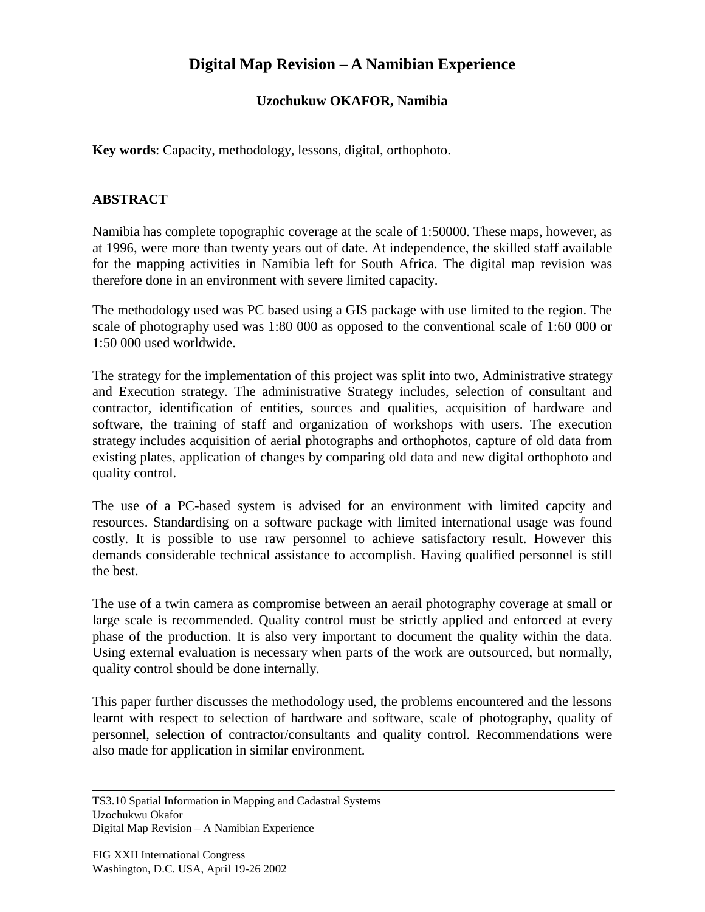## **Digital Map Revision – A Namibian Experience**

## **Uzochukuw OKAFOR, Namibia**

**Key words**: Capacity, methodology, lessons, digital, orthophoto.

## **ABSTRACT**

Namibia has complete topographic coverage at the scale of 1:50000. These maps, however, as at 1996, were more than twenty years out of date. At independence, the skilled staff available for the mapping activities in Namibia left for South Africa. The digital map revision was therefore done in an environment with severe limited capacity.

The methodology used was PC based using a GIS package with use limited to the region. The scale of photography used was 1:80 000 as opposed to the conventional scale of 1:60 000 or 1:50 000 used worldwide.

The strategy for the implementation of this project was split into two, Administrative strategy and Execution strategy. The administrative Strategy includes, selection of consultant and contractor, identification of entities, sources and qualities, acquisition of hardware and software, the training of staff and organization of workshops with users. The execution strategy includes acquisition of aerial photographs and orthophotos, capture of old data from existing plates, application of changes by comparing old data and new digital orthophoto and quality control.

The use of a PC-based system is advised for an environment with limited capcity and resources. Standardising on a software package with limited international usage was found costly. It is possible to use raw personnel to achieve satisfactory result. However this demands considerable technical assistance to accomplish. Having qualified personnel is still the best.

The use of a twin camera as compromise between an aerail photography coverage at small or large scale is recommended. Quality control must be strictly applied and enforced at every phase of the production. It is also very important to document the quality within the data. Using external evaluation is necessary when parts of the work are outsourced, but normally, quality control should be done internally.

This paper further discusses the methodology used, the problems encountered and the lessons learnt with respect to selection of hardware and software, scale of photography, quality of personnel, selection of contractor/consultants and quality control. Recommendations were also made for application in similar environment.

TS3.10 Spatial Information in Mapping and Cadastral Systems Uzochukwu Okafor Digital Map Revision – A Namibian Experience